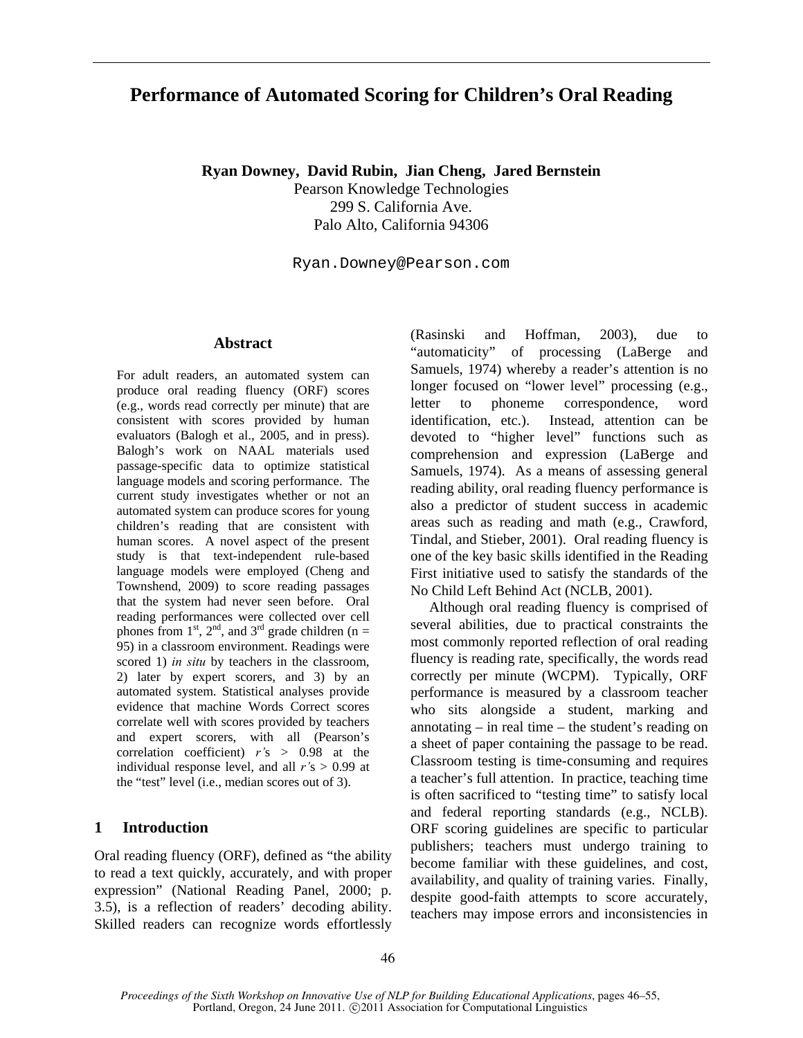# **Performance of Automated Scoring for Children's Oral Reading**

**Ryan Downey, David Rubin, Jian Cheng, Jared Bernstein** 

Pearson Knowledge Technologies 299 S. California Ave. Palo Alto, California 94306

Ryan.Downey@Pearson.com

## **Abstract**

For adult readers, an automated system can produce oral reading fluency (ORF) scores (e.g., words read correctly per minute) that are consistent with scores provided by human evaluators (Balogh et al., 2005, and in press). Balogh's work on NAAL materials used passage-specific data to optimize statistical language models and scoring performance. The current study investigates whether or not an automated system can produce scores for young children's reading that are consistent with human scores. A novel aspect of the present study is that text-independent rule-based language models were employed (Cheng and Townshend, 2009) to score reading passages that the system had never seen before. Oral reading performances were collected over cell phones from  $1<sup>st</sup>$ ,  $2<sup>nd</sup>$ , and  $3<sup>rd</sup>$  grade children (n = 95) in a classroom environment. Readings were scored 1) *in situ* by teachers in the classroom, 2) later by expert scorers, and 3) by an automated system. Statistical analyses provide evidence that machine Words Correct scores correlate well with scores provided by teachers and expert scorers, with all (Pearson's correlation coefficient) *r'*s > 0.98 at the individual response level, and all *r'*s > 0.99 at the "test" level (i.e., median scores out of 3).

# **1 Introduction**

Oral reading fluency (ORF), defined as "the ability to read a text quickly, accurately, and with proper expression" (National Reading Panel, 2000; p. 3.5), is a reflection of readers' decoding ability. Skilled readers can recognize words effortlessly (Rasinski and Hoffman, 2003), due to "automaticity" of processing (LaBerge and Samuels, 1974) whereby a reader's attention is no longer focused on "lower level" processing (e.g., letter to phoneme correspondence, word identification, etc.). Instead, attention can be devoted to "higher level" functions such as comprehension and expression (LaBerge and Samuels, 1974). As a means of assessing general reading ability, oral reading fluency performance is also a predictor of student success in academic areas such as reading and math (e.g., Crawford, Tindal, and Stieber, 2001). Oral reading fluency is one of the key basic skills identified in the Reading First initiative used to satisfy the standards of the No Child Left Behind Act (NCLB, 2001).

Although oral reading fluency is comprised of several abilities, due to practical constraints the most commonly reported reflection of oral reading fluency is reading rate, specifically, the words read correctly per minute (WCPM). Typically, ORF performance is measured by a classroom teacher who sits alongside a student, marking and annotating – in real time – the student's reading on a sheet of paper containing the passage to be read. Classroom testing is time-consuming and requires a teacher's full attention. In practice, teaching time is often sacrificed to "testing time" to satisfy local and federal reporting standards (e.g., NCLB). ORF scoring guidelines are specific to particular publishers; teachers must undergo training to become familiar with these guidelines, and cost, availability, and quality of training varies. Finally, despite good-faith attempts to score accurately, teachers may impose errors and inconsistencies in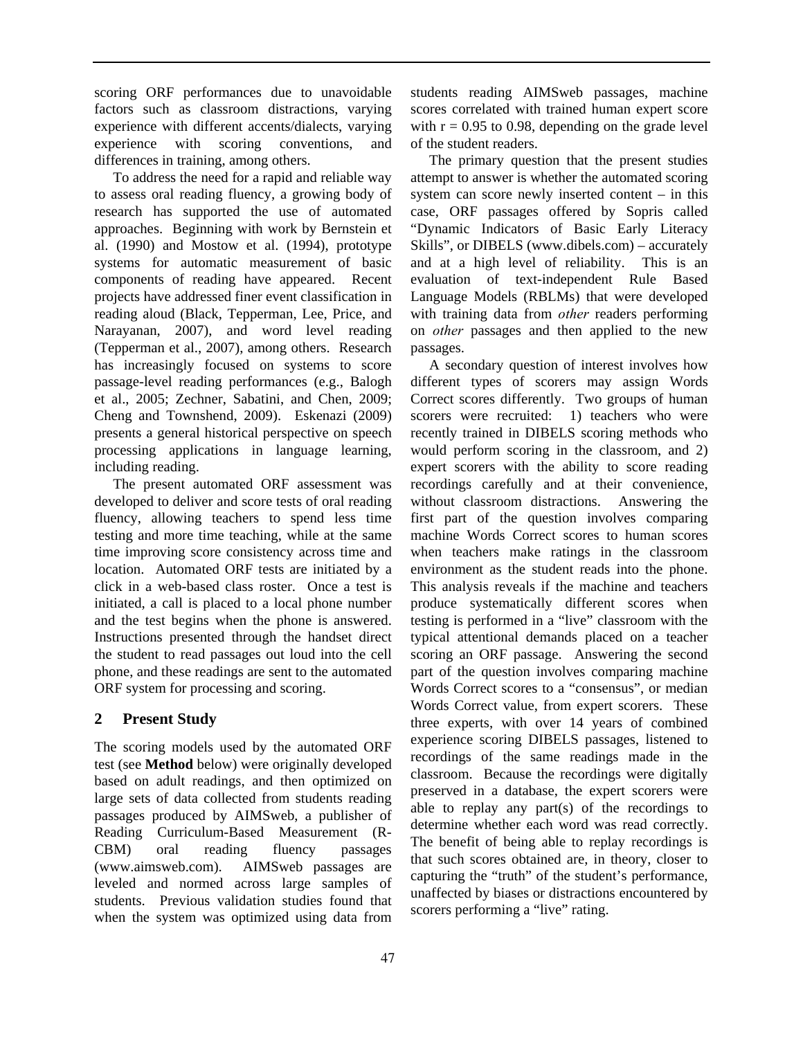scoring ORF performances due to unavoidable factors such as classroom distractions, varying experience with different accents/dialects, varying experience with scoring conventions, and differences in training, among others.

To address the need for a rapid and reliable way to assess oral reading fluency, a growing body of research has supported the use of automated approaches. Beginning with work by Bernstein et al. (1990) and Mostow et al. (1994), prototype systems for automatic measurement of basic components of reading have appeared. Recent projects have addressed finer event classification in reading aloud (Black, Tepperman, Lee, Price, and Narayanan, 2007), and word level reading (Tepperman et al., 2007), among others. Research has increasingly focused on systems to score passage-level reading performances (e.g., Balogh et al., 2005; Zechner, Sabatini, and Chen, 2009; Cheng and Townshend, 2009). Eskenazi (2009) presents a general historical perspective on speech processing applications in language learning, including reading.

The present automated ORF assessment was developed to deliver and score tests of oral reading fluency, allowing teachers to spend less time testing and more time teaching, while at the same time improving score consistency across time and location. Automated ORF tests are initiated by a click in a web-based class roster. Once a test is initiated, a call is placed to a local phone number and the test begins when the phone is answered. Instructions presented through the handset direct the student to read passages out loud into the cell phone, and these readings are sent to the automated ORF system for processing and scoring.

# **2 Present Study**

The scoring models used by the automated ORF test (see **Method** below) were originally developed based on adult readings, and then optimized on large sets of data collected from students reading passages produced by AIMSweb, a publisher of Reading Curriculum-Based Measurement (R-CBM) oral reading fluency passages (www.aimsweb.com). AIMSweb passages are leveled and normed across large samples of students. Previous validation studies found that when the system was optimized using data from students reading AIMSweb passages, machine scores correlated with trained human expert score with  $r = 0.95$  to 0.98, depending on the grade level of the student readers.

The primary question that the present studies attempt to answer is whether the automated scoring system can score newly inserted content – in this case, ORF passages offered by Sopris called "Dynamic Indicators of Basic Early Literacy Skills", or DIBELS (www.dibels.com) – accurately and at a high level of reliability. This is an evaluation of text-independent Rule Based Language Models (RBLMs) that were developed with training data from *other* readers performing on *other* passages and then applied to the new passages.

A secondary question of interest involves how different types of scorers may assign Words Correct scores differently. Two groups of human scorers were recruited: 1) teachers who were recently trained in DIBELS scoring methods who would perform scoring in the classroom, and 2) expert scorers with the ability to score reading recordings carefully and at their convenience, without classroom distractions. Answering the first part of the question involves comparing machine Words Correct scores to human scores when teachers make ratings in the classroom environment as the student reads into the phone. This analysis reveals if the machine and teachers produce systematically different scores when testing is performed in a "live" classroom with the typical attentional demands placed on a teacher scoring an ORF passage. Answering the second part of the question involves comparing machine Words Correct scores to a "consensus", or median Words Correct value, from expert scorers. These three experts, with over 14 years of combined experience scoring DIBELS passages, listened to recordings of the same readings made in the classroom. Because the recordings were digitally preserved in a database, the expert scorers were able to replay any part(s) of the recordings to determine whether each word was read correctly. The benefit of being able to replay recordings is that such scores obtained are, in theory, closer to capturing the "truth" of the student's performance, unaffected by biases or distractions encountered by scorers performing a "live" rating.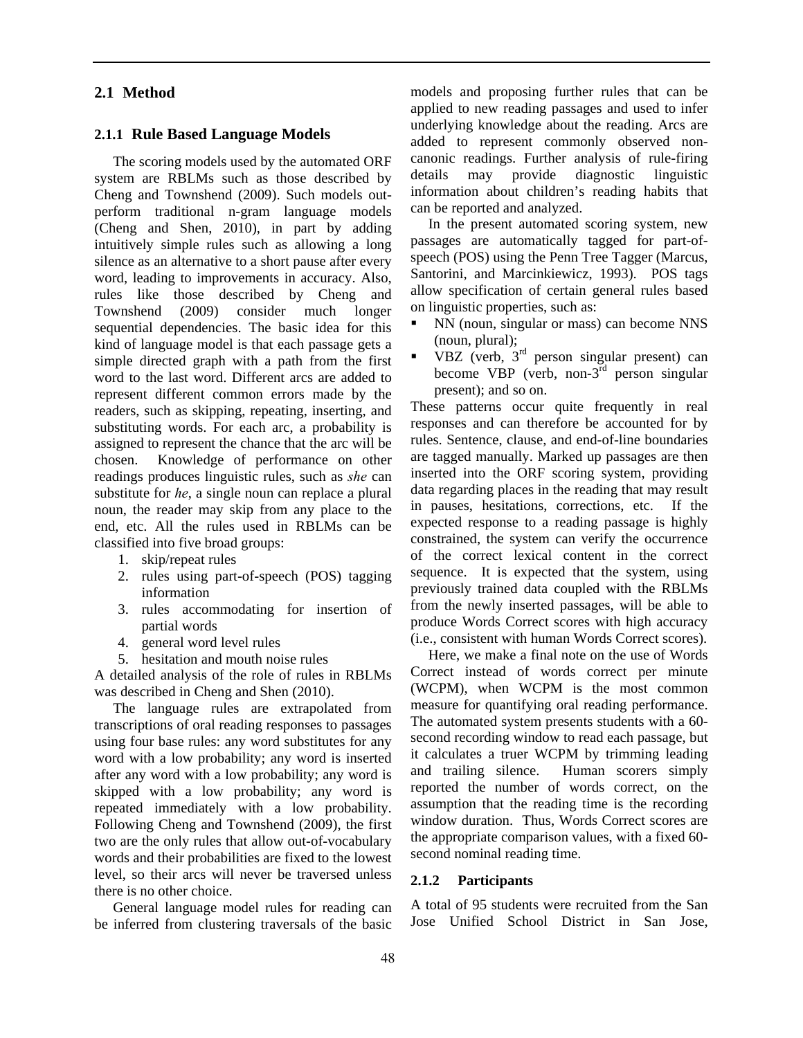## **2.1 Method**

#### **2.1.1 Rule Based Language Models**

The scoring models used by the automated ORF system are RBLMs such as those described by Cheng and Townshend (2009). Such models outperform traditional n-gram language models (Cheng and Shen, 2010), in part by adding intuitively simple rules such as allowing a long silence as an alternative to a short pause after every word, leading to improvements in accuracy. Also, rules like those described by Cheng and Townshend (2009) consider much longer sequential dependencies. The basic idea for this kind of language model is that each passage gets a simple directed graph with a path from the first word to the last word. Different arcs are added to represent different common errors made by the readers, such as skipping, repeating, inserting, and substituting words. For each arc, a probability is assigned to represent the chance that the arc will be chosen. Knowledge of performance on other readings produces linguistic rules, such as *she* can substitute for *he*, a single noun can replace a plural noun, the reader may skip from any place to the end, etc. All the rules used in RBLMs can be classified into five broad groups:

- 1. skip/repeat rules
- 2. rules using part-of-speech (POS) tagging information
- 3. rules accommodating for insertion of partial words
- 4. general word level rules
- 5. hesitation and mouth noise rules

A detailed analysis of the role of rules in RBLMs was described in Cheng and Shen (2010).

The language rules are extrapolated from transcriptions of oral reading responses to passages using four base rules: any word substitutes for any word with a low probability; any word is inserted after any word with a low probability; any word is skipped with a low probability; any word is repeated immediately with a low probability. Following Cheng and Townshend (2009), the first two are the only rules that allow out-of-vocabulary words and their probabilities are fixed to the lowest level, so their arcs will never be traversed unless there is no other choice.

General language model rules for reading can be inferred from clustering traversals of the basic models and proposing further rules that can be applied to new reading passages and used to infer underlying knowledge about the reading. Arcs are added to represent commonly observed noncanonic readings. Further analysis of rule-firing details may provide diagnostic linguistic information about children's reading habits that can be reported and analyzed.

In the present automated scoring system, new passages are automatically tagged for part-ofspeech (POS) using the Penn Tree Tagger (Marcus, Santorini, and Marcinkiewicz, 1993). POS tags allow specification of certain general rules based on linguistic properties, such as:

- NN (noun, singular or mass) can become NNS (noun, plural);
- VBZ (verb, 3rd person singular present) can become VBP (verb, non-3rd person singular present); and so on.

These patterns occur quite frequently in real responses and can therefore be accounted for by rules. Sentence, clause, and end-of-line boundaries are tagged manually. Marked up passages are then inserted into the ORF scoring system, providing data regarding places in the reading that may result in pauses, hesitations, corrections, etc. If the expected response to a reading passage is highly constrained, the system can verify the occurrence of the correct lexical content in the correct sequence. It is expected that the system, using previously trained data coupled with the RBLMs from the newly inserted passages, will be able to produce Words Correct scores with high accuracy (i.e., consistent with human Words Correct scores).

Here, we make a final note on the use of Words Correct instead of words correct per minute (WCPM), when WCPM is the most common measure for quantifying oral reading performance. The automated system presents students with a 60 second recording window to read each passage, but it calculates a truer WCPM by trimming leading and trailing silence. Human scorers simply reported the number of words correct, on the assumption that the reading time is the recording window duration. Thus, Words Correct scores are the appropriate comparison values, with a fixed 60 second nominal reading time.

#### **2.1.2 Participants**

A total of 95 students were recruited from the San Jose Unified School District in San Jose,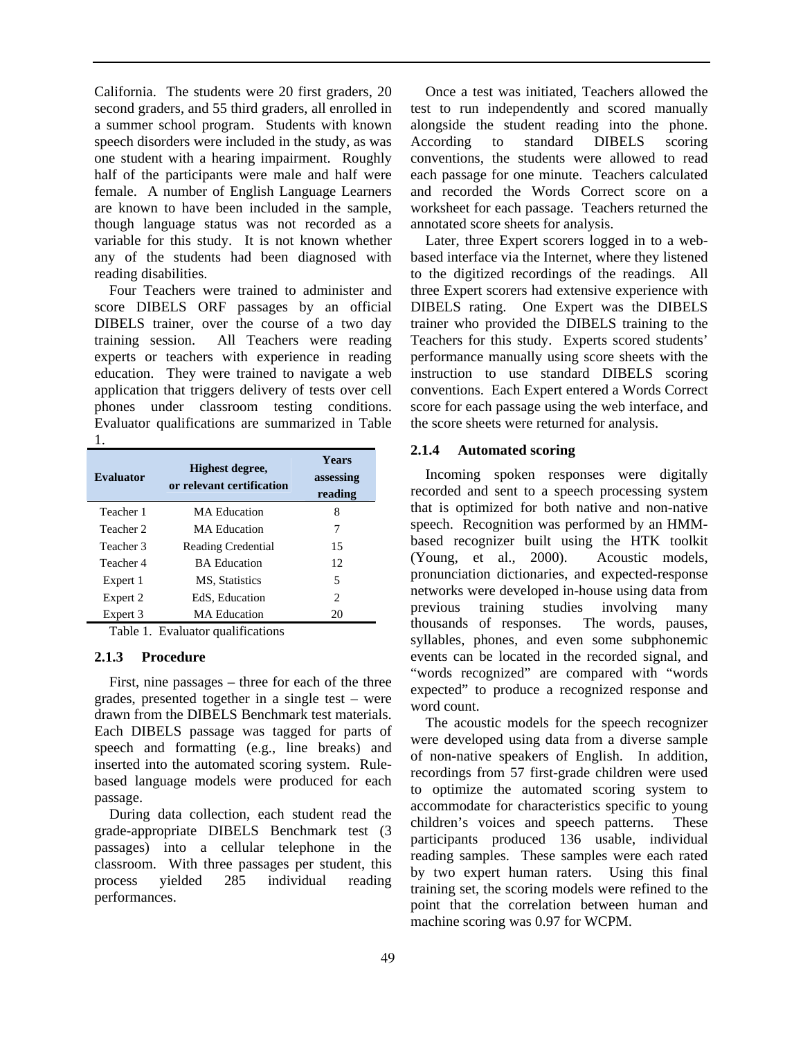California. The students were 20 first graders, 20 second graders, and 55 third graders, all enrolled in a summer school program. Students with known speech disorders were included in the study, as was one student with a hearing impairment. Roughly half of the participants were male and half were female. A number of English Language Learners are known to have been included in the sample, though language status was not recorded as a variable for this study. It is not known whether any of the students had been diagnosed with reading disabilities.

Four Teachers were trained to administer and score DIBELS ORF passages by an official DIBELS trainer, over the course of a two day training session. All Teachers were reading experts or teachers with experience in reading education. They were trained to navigate a web application that triggers delivery of tests over cell phones under classroom testing conditions. Evaluator qualifications are summarized in Table 1.

| Evaluator | Highest degree,<br>or relevant certification | <b>Years</b><br>assessing<br>reading |
|-----------|----------------------------------------------|--------------------------------------|
| Teacher 1 | MA Education                                 | 8                                    |
| Teacher 2 | MA Education                                 | 7                                    |
| Teacher 3 | <b>Reading Credential</b>                    | 15                                   |
| Teacher 4 | <b>BA</b> Education                          | 12                                   |
| Expert 1  | MS, Statistics                               | 5                                    |
| Expert 2  | EdS, Education                               | $\mathcal{D}_{\mathcal{L}}$          |
| Expert 3  | <b>MA</b> Education                          | 20                                   |

Table 1. Evaluator qualifications

### **2.1.3 Procedure**

First, nine passages – three for each of the three grades, presented together in a single test – were drawn from the DIBELS Benchmark test materials. Each DIBELS passage was tagged for parts of speech and formatting (e.g., line breaks) and inserted into the automated scoring system. Rulebased language models were produced for each passage.

During data collection, each student read the grade-appropriate DIBELS Benchmark test (3 passages) into a cellular telephone in the classroom. With three passages per student, this process yielded 285 individual reading performances.

Once a test was initiated, Teachers allowed the test to run independently and scored manually alongside the student reading into the phone. According to standard DIBELS scoring conventions, the students were allowed to read each passage for one minute. Teachers calculated and recorded the Words Correct score on a worksheet for each passage. Teachers returned the annotated score sheets for analysis.

Later, three Expert scorers logged in to a webbased interface via the Internet, where they listened to the digitized recordings of the readings. All three Expert scorers had extensive experience with DIBELS rating. One Expert was the DIBELS trainer who provided the DIBELS training to the Teachers for this study. Experts scored students' performance manually using score sheets with the instruction to use standard DIBELS scoring conventions. Each Expert entered a Words Correct score for each passage using the web interface, and the score sheets were returned for analysis.

## **2.1.4 Automated scoring**

Incoming spoken responses were digitally recorded and sent to a speech processing system that is optimized for both native and non-native speech. Recognition was performed by an HMMbased recognizer built using the HTK toolkit (Young, et al., 2000). Acoustic models, pronunciation dictionaries, and expected-response networks were developed in-house using data from previous training studies involving many thousands of responses. The words, pauses, syllables, phones, and even some subphonemic events can be located in the recorded signal, and "words recognized" are compared with "words expected" to produce a recognized response and word count.

The acoustic models for the speech recognizer were developed using data from a diverse sample of non-native speakers of English. In addition, recordings from 57 first-grade children were used to optimize the automated scoring system to accommodate for characteristics specific to young children's voices and speech patterns. These participants produced 136 usable, individual reading samples. These samples were each rated by two expert human raters. Using this final training set, the scoring models were refined to the point that the correlation between human and machine scoring was 0.97 for WCPM.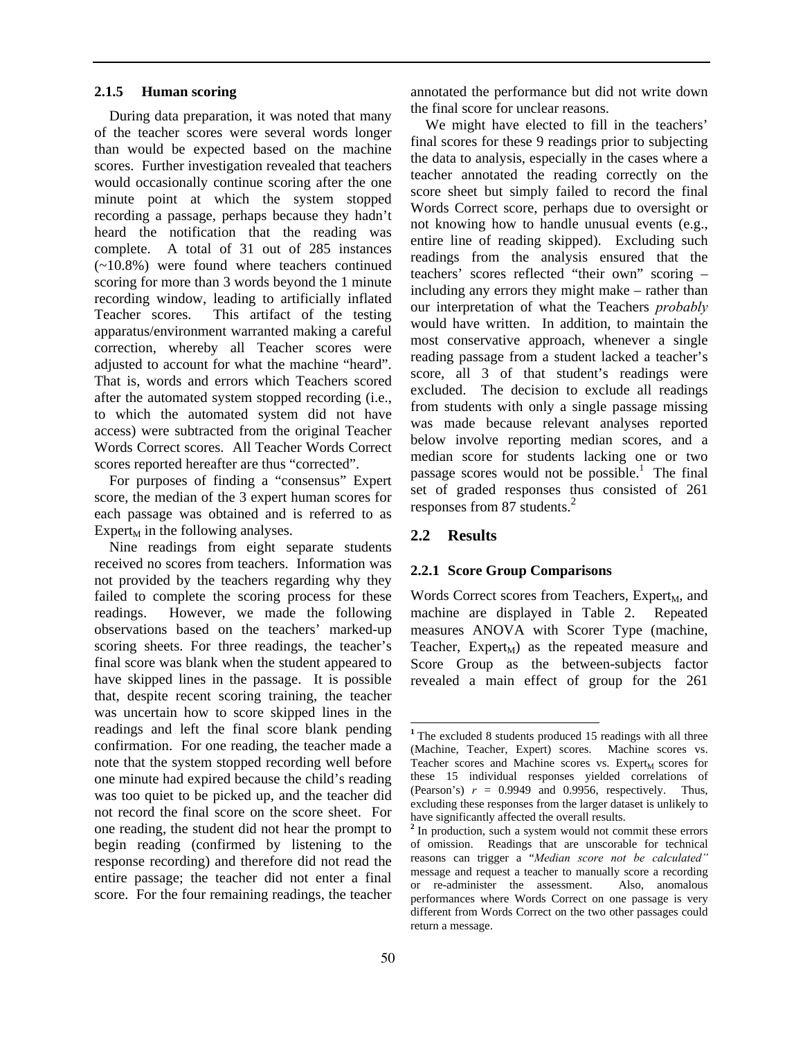#### **2.1.5 Human scoring**

During data preparation, it was noted that many of the teacher scores were several words longer than would be expected based on the machine scores. Further investigation revealed that teachers would occasionally continue scoring after the one minute point at which the system stopped recording a passage, perhaps because they hadn't heard the notification that the reading was complete. A total of 31 out of 285 instances (~10.8%) were found where teachers continued scoring for more than 3 words beyond the 1 minute recording window, leading to artificially inflated Teacher scores. This artifact of the testing apparatus/environment warranted making a careful correction, whereby all Teacher scores were adjusted to account for what the machine "heard". That is, words and errors which Teachers scored after the automated system stopped recording (i.e., to which the automated system did not have access) were subtracted from the original Teacher Words Correct scores. All Teacher Words Correct scores reported hereafter are thus "corrected".

For purposes of finding a "consensus" Expert score, the median of the 3 expert human scores for each passage was obtained and is referred to as Expert<sub>M</sub> in the following analyses.

Nine readings from eight separate students received no scores from teachers. Information was not provided by the teachers regarding why they failed to complete the scoring process for these readings. However, we made the following observations based on the teachers' marked-up scoring sheets. For three readings, the teacher's final score was blank when the student appeared to have skipped lines in the passage. It is possible that, despite recent scoring training, the teacher was uncertain how to score skipped lines in the readings and left the final score blank pending confirmation. For one reading, the teacher made a note that the system stopped recording well before one minute had expired because the child's reading was too quiet to be picked up, and the teacher did not record the final score on the score sheet. For one reading, the student did not hear the prompt to begin reading (confirmed by listening to the response recording) and therefore did not read the entire passage; the teacher did not enter a final score. For the four remaining readings, the teacher annotated the performance but did not write down the final score for unclear reasons.

We might have elected to fill in the teachers' final scores for these 9 readings prior to subjecting the data to analysis, especially in the cases where a teacher annotated the reading correctly on the score sheet but simply failed to record the final Words Correct score, perhaps due to oversight or not knowing how to handle unusual events (e.g., entire line of reading skipped). Excluding such readings from the analysis ensured that the teachers' scores reflected "their own" scoring – including any errors they might make – rather than our interpretation of what the Teachers *probably* would have written. In addition, to maintain the most conservative approach, whenever a single reading passage from a student lacked a teacher's score, all 3 of that student's readings were excluded. The decision to exclude all readings from students with only a single passage missing was made because relevant analyses reported below involve reporting median scores, and a median score for students lacking one or two passage scores would not be possible.<sup>1</sup> The final set of graded responses thus consisted of 261 responses from 87 students.<sup>2</sup>

### **2.2 Results**

#### **2.2.1 Score Group Comparisons**

Words Correct scores from Teachers, Expert<sub>M</sub>, and machine are displayed in Table 2. Repeated measures ANOVA with Scorer Type (machine, Teacher,  $Expert_M$ ) as the repeated measure and Score Group as the between-subjects factor revealed a main effect of group for the 261

<sup>&</sup>lt;sup>1</sup> The excluded 8 students produced 15 readings with all three (Machine, Teacher, Expert) scores. Machine scores vs. Teacher scores and Machine scores vs. Expert<sub>M</sub> scores for these 15 individual responses yielded correlations of (Pearson's)  $r = 0.9949$  and 0.9956, respectively. Thus, excluding these responses from the larger dataset is unlikely to have significantly affected the overall results.

<sup>&</sup>lt;sup>2</sup> In production, such a system would not commit these errors of omission. Readings that are unscorable for technical reasons can trigger a "*Median score not be calculated"* message and request a teacher to manually score a recording or re-administer the assessment. Also, anomalous performances where Words Correct on one passage is very different from Words Correct on the two other passages could return a message.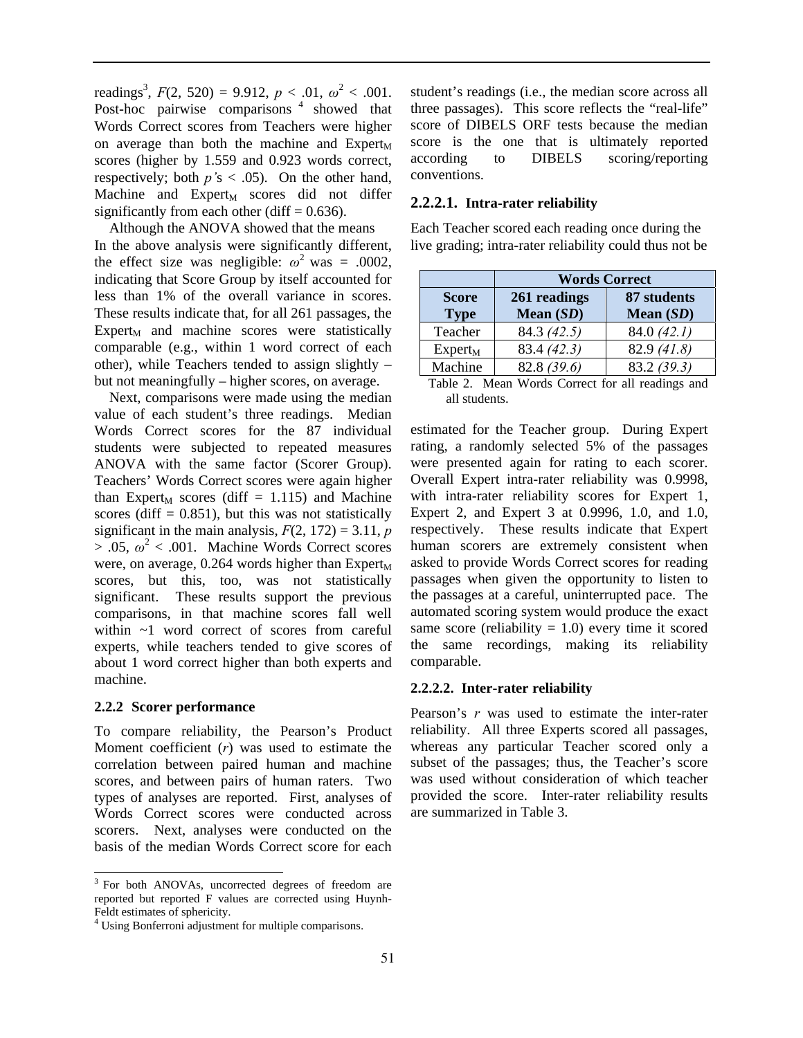readings<sup>3</sup>,  $F(2, 520) = 9.912$ ,  $p < .01$ ,  $\omega^2 < .001$ . Post-hoc pairwise comparisons <sup>4</sup> showed that Words Correct scores from Teachers were higher on average than both the machine and  $Expert_M$ scores (higher by 1.559 and 0.923 words correct, respectively; both *p'*s < .05). On the other hand, Machine and  $Expert_M$  scores did not differ significantly from each other (diff  $= 0.636$ ).

Although the ANOVA showed that the means In the above analysis were significantly different, the effect size was negligible:  $\omega^2$  was = .0002, indicating that Score Group by itself accounted for less than 1% of the overall variance in scores. These results indicate that, for all 261 passages, the  $Expert_M$  and machine scores were statistically comparable (e.g., within 1 word correct of each other), while Teachers tended to assign slightly – but not meaningfully – higher scores, on average.

Next, comparisons were made using the median value of each student's three readings. Median Words Correct scores for the 87 individual students were subjected to repeated measures ANOVA with the same factor (Scorer Group). Teachers' Words Correct scores were again higher than Expert<sub>M</sub> scores (diff = 1.115) and Machine scores (diff  $= 0.851$ ), but this was not statistically significant in the main analysis,  $F(2, 172) = 3.11$ , *p*  $> .05, \omega^2 < .001$ . Machine Words Correct scores were, on average, 0.264 words higher than  $Expert_M$ scores, but this, too, was not statistically significant. These results support the previous comparisons, in that machine scores fall well within ~1 word correct of scores from careful experts, while teachers tended to give scores of about 1 word correct higher than both experts and machine.

### **2.2.2 Scorer performance**

 $\overline{a}$ 

To compare reliability, the Pearson's Product Moment coefficient (*r*) was used to estimate the correlation between paired human and machine scores, and between pairs of human raters. Two types of analyses are reported. First, analyses of Words Correct scores were conducted across scorers. Next, analyses were conducted on the basis of the median Words Correct score for each student's readings (i.e., the median score across all three passages). This score reflects the "real-life" score of DIBELS ORF tests because the median score is the one that is ultimately reported according to DIBELS scoring/reporting conventions.

## **2.2.2.1.****Intra-rater reliability**

Each Teacher scored each reading once during the live grading; intra-rater reliability could thus not be

|              | <b>Words Correct</b> |             |  |
|--------------|----------------------|-------------|--|
| <b>Score</b> | 261 readings         | 87 students |  |
| <b>Type</b>  | Mean $(SD)$          | Mean $(SD)$ |  |
| Teacher      | 84.3 (42.5)          | 84.0(42.1)  |  |
| $Expert_M$   | 83.4 (42.3)          | 82.9(41.8)  |  |
| Machine      | 82.8 (39.6)          | 83.2(39.3)  |  |

Table 2. Mean Words Correct for all readings and all students.

estimated for the Teacher group. During Expert rating, a randomly selected 5% of the passages were presented again for rating to each scorer. Overall Expert intra-rater reliability was 0.9998, with intra-rater reliability scores for Expert 1, Expert 2, and Expert 3 at 0.9996, 1.0, and 1.0, respectively. These results indicate that Expert human scorers are extremely consistent when asked to provide Words Correct scores for reading passages when given the opportunity to listen to the passages at a careful, uninterrupted pace. The automated scoring system would produce the exact same score (reliability  $= 1.0$ ) every time it scored the same recordings, making its reliability comparable.

## **2.2.2.2. Inter-rater reliability**

Pearson's *r* was used to estimate the inter-rater reliability. All three Experts scored all passages, whereas any particular Teacher scored only a subset of the passages; thus, the Teacher's score was used without consideration of which teacher provided the score. Inter-rater reliability results are summarized in Table 3.

<sup>&</sup>lt;sup>3</sup> For both ANOVAs, uncorrected degrees of freedom are reported but reported F values are corrected using Huynh-Feldt estimates of sphericity.

<sup>4</sup> Using Bonferroni adjustment for multiple comparisons.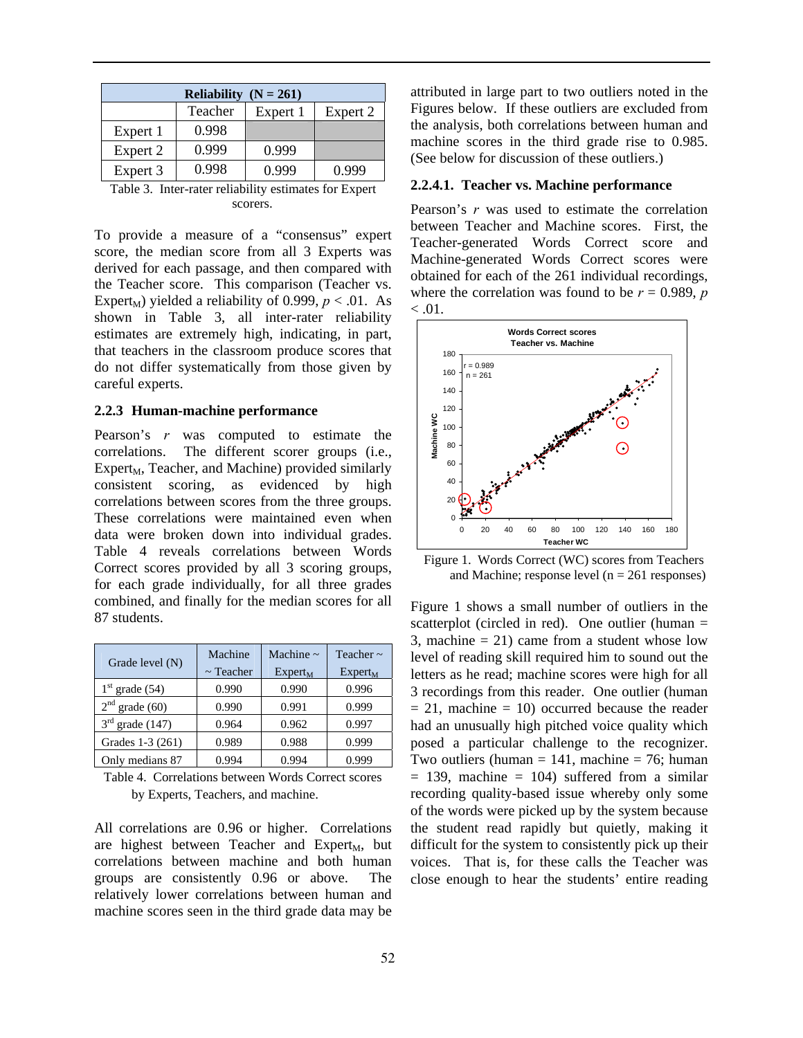| Reliability $(N = 261)$ |         |          |          |  |  |  |
|-------------------------|---------|----------|----------|--|--|--|
|                         | Teacher | Expert 1 | Expert 2 |  |  |  |
| Expert 1                | 0.998   |          |          |  |  |  |
| Expert 2                | 0.999   | 0.999    |          |  |  |  |
| Expert 3                | 0.998   | 0.999    | 0.999    |  |  |  |
|                         |         |          |          |  |  |  |

Table 3. Inter-rater reliability estimates for Expert scorers.

To provide a measure of a "consensus" expert score, the median score from all 3 Experts was derived for each passage, and then compared with the Teacher score. This comparison (Teacher vs. Expert<sub>M</sub>) yielded a reliability of 0.999,  $p < .01$ . As shown in Table 3, all inter-rater reliability estimates are extremely high, indicating, in part, that teachers in the classroom produce scores that do not differ systematically from those given by careful experts.

#### **2.2.3 Human-machine performance**

Pearson's *r* was computed to estimate the correlations. The different scorer groups (i.e.,  $Expert<sub>M</sub>$ , Teacher, and Machine) provided similarly consistent scoring, as evidenced by high correlations between scores from the three groups. These correlations were maintained even when data were broken down into individual grades. Table 4 reveals correlations between Words Correct scores provided by all 3 scoring groups, for each grade individually, for all three grades combined, and finally for the median scores for all 87 students.

| Grade level (N)   | Machine<br>$\sim$ Teacher | Machine $\sim$<br>$Expert_M$ | Teacher $\sim$<br>Expert <sub>M</sub> |
|-------------------|---------------------------|------------------------------|---------------------------------------|
| $1st$ grade (54)  | 0.990                     | 0.990                        | 0.996                                 |
| $2nd$ grade (60)  | 0.990                     | 0.991                        | 0.999                                 |
| $3rd$ grade (147) | 0.964                     | 0.962                        | 0.997                                 |
| Grades 1-3 (261)  | 0.989                     | 0.988                        | 0.999                                 |
| Only medians 87   | 0.994                     | 0.994                        | 0.999                                 |

Table 4. Correlations between Words Correct scores by Experts, Teachers, and machine.

All correlations are 0.96 or higher. Correlations are highest between Teacher and  $Expert_M$ , but correlations between machine and both human groups are consistently 0.96 or above. The relatively lower correlations between human and machine scores seen in the third grade data may be attributed in large part to two outliers noted in the Figures below. If these outliers are excluded from the analysis, both correlations between human and machine scores in the third grade rise to 0.985. (See below for discussion of these outliers.)

#### **2.2.4.1. Teacher vs. Machine performance**

Pearson's *r* was used to estimate the correlation between Teacher and Machine scores. First, the Teacher-generated Words Correct score and Machine-generated Words Correct scores were obtained for each of the 261 individual recordings, where the correlation was found to be  $r = 0.989$ , *p*  $< 0.01$ .



Figure 1. Words Correct (WC) scores from Teachers and Machine; response level ( $n = 261$  responses)

Figure 1 shows a small number of outliers in the scatterplot (circled in red). One outlier (human  $=$ 3, machine  $= 21$ ) came from a student whose low level of reading skill required him to sound out the letters as he read; machine scores were high for all 3 recordings from this reader. One outlier (human  $= 21$ , machine  $= 10$ ) occurred because the reader had an unusually high pitched voice quality which posed a particular challenge to the recognizer. Two outliers (human  $= 141$ , machine  $= 76$ ; human  $= 139$ , machine  $= 104$ ) suffered from a similar recording quality-based issue whereby only some of the words were picked up by the system because the student read rapidly but quietly, making it difficult for the system to consistently pick up their voices. That is, for these calls the Teacher was close enough to hear the students' entire reading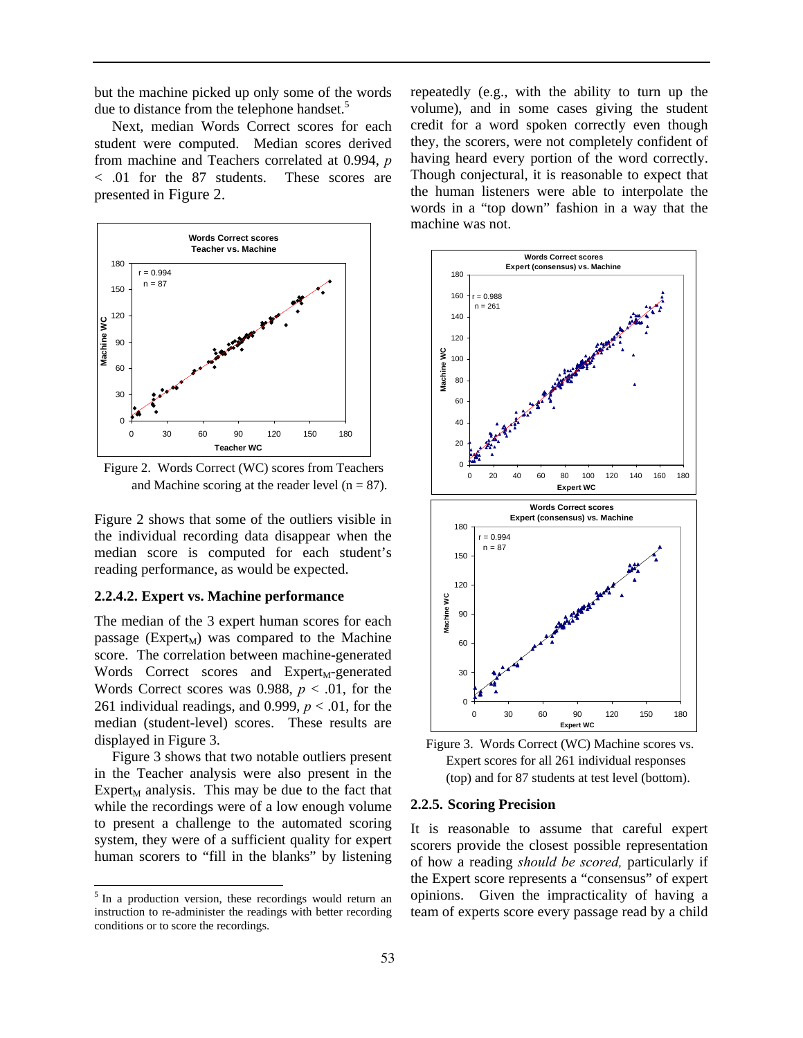but the machine picked up only some of the words due to distance from the telephone handset.<sup>5</sup>

Next, median Words Correct scores for each student were computed. Median scores derived from machine and Teachers correlated at 0.994, *p* < .01 for the 87 students. These scores are presented in Figure 2.



Figure 2. Words Correct (WC) scores from Teachers and Machine scoring at the reader level  $(n = 87)$ .

Figure 2 shows that some of the outliers visible in the individual recording data disappear when the median score is computed for each student's reading performance, as would be expected.

#### **2.2.4.2. Expert vs. Machine performance**

The median of the 3 expert human scores for each passage (Expert<sub>M</sub>) was compared to the Machine score. The correlation between machine-generated Words Correct scores and  $Expert_M$ -generated Words Correct scores was 0.988,  $p < .01$ , for the 261 individual readings, and 0.999,  $p < .01$ , for the median (student-level) scores. These results are displayed in Figure 3.

Figure 3 shows that two notable outliers present in the Teacher analysis were also present in the Expert<sub>M</sub> analysis. This may be due to the fact that while the recordings were of a low enough volume to present a challenge to the automated scoring system, they were of a sufficient quality for expert human scorers to "fill in the blanks" by listening

 $\overline{a}$ 

repeatedly (e.g., with the ability to turn up the volume), and in some cases giving the student credit for a word spoken correctly even though they, the scorers, were not completely confident of having heard every portion of the word correctly. Though conjectural, it is reasonable to expect that the human listeners were able to interpolate the words in a "top down" fashion in a way that the machine was not.



Figure 3. Words Correct (WC) Machine scores vs. Expert scores for all 261 individual responses (top) and for 87 students at test level (bottom).

#### **2.2.5. Scoring Precision**

It is reasonable to assume that careful expert scorers provide the closest possible representation of how a reading *should be scored,* particularly if the Expert score represents a "consensus" of expert opinions. Given the impracticality of having a team of experts score every passage read by a child

<sup>&</sup>lt;sup>5</sup> In a production version, these recordings would return an instruction to re-administer the readings with better recording conditions or to score the recordings.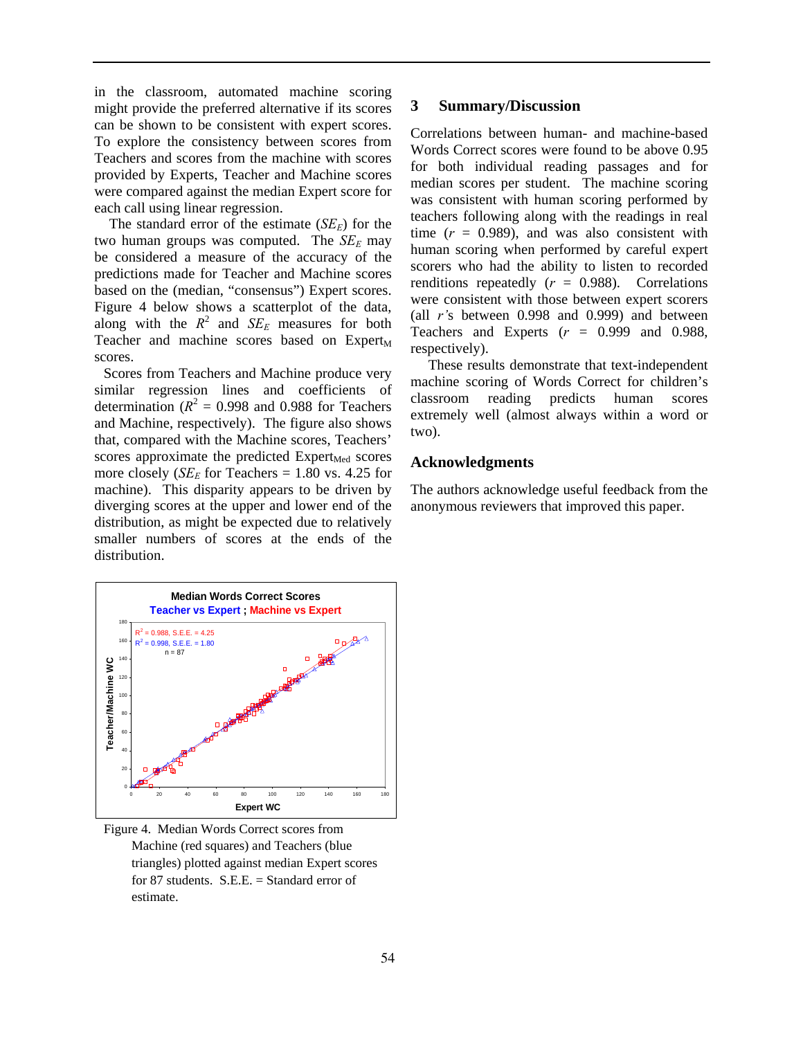in the classroom, automated machine scoring might provide the preferred alternative if its scores can be shown to be consistent with expert scores. To explore the consistency between scores from Teachers and scores from the machine with scores provided by Experts, Teacher and Machine scores were compared against the median Expert score for each call using linear regression.

The standard error of the estimate  $(SE<sub>E</sub>)$  for the two human groups was computed. The  $SE_E$  may be considered a measure of the accuracy of the predictions made for Teacher and Machine scores based on the (median, "consensus") Expert scores. Figure 4 below shows a scatterplot of the data, along with the  $R^2$  and  $SE_E$  measures for both Teacher and machine scores based on  $Expert_M$ scores.

Scores from Teachers and Machine produce very similar regression lines and coefficients of determination  $(R^2 = 0.998$  and 0.988 for Teachers and Machine, respectively). The figure also shows that, compared with the Machine scores, Teachers' scores approximate the predicted  $Expert_{Med}$  scores more closely ( $SE_E$  for Teachers = 1.80 vs. 4.25 for machine). This disparity appears to be driven by diverging scores at the upper and lower end of the distribution, as might be expected due to relatively smaller numbers of scores at the ends of the distribution.



Figure 4. Median Words Correct scores from Machine (red squares) and Teachers (blue triangles) plotted against median Expert scores for 87 students. S.E.E. = Standard error of estimate.

## **3 Summary/Discussion**

Correlations between human- and machine-based Words Correct scores were found to be above 0.95 for both individual reading passages and for median scores per student. The machine scoring was consistent with human scoring performed by teachers following along with the readings in real time  $(r = 0.989)$ , and was also consistent with human scoring when performed by careful expert scorers who had the ability to listen to recorded renditions repeatedly  $(r = 0.988)$ . Correlations were consistent with those between expert scorers (all *r'*s between 0.998 and 0.999) and between Teachers and Experts  $(r = 0.999$  and 0.988, respectively).

These results demonstrate that text-independent machine scoring of Words Correct for children's classroom reading predicts human scores extremely well (almost always within a word or two).

## **Acknowledgments**

The authors acknowledge useful feedback from the anonymous reviewers that improved this paper.